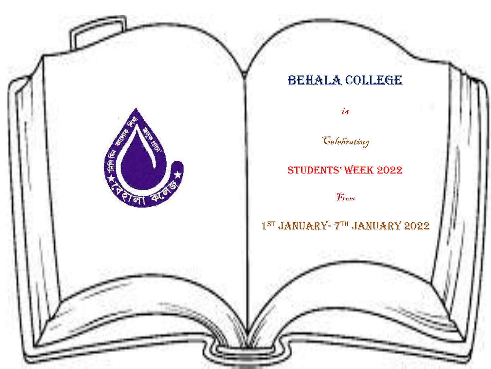# BEHALA COLLEGE

is

*Celebrating* 

# StudentS' Week 2022

From

**FASTER RIGHT** 

# 1<sup>ST</sup> JANUARY- 7TH JANUARY 2022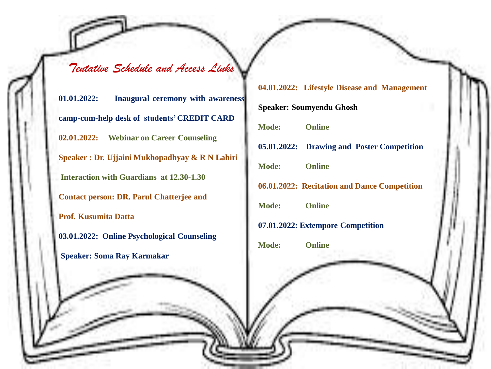*Tentative Schedule and Access Links*

**01.01.2022: Inaugural ceremony with awareness camp-cum-help desk of students' CREDIT CARD 02.01.2022: Webinar on Career Counseling Speaker : Dr. Ujjaini Mukhopadhyay & R N Lahiri Interaction with Guardians at 12.30-1.30 Contact person: DR. Parul Chatterjee and Prof. Kusumita Datta 03.01.2022: Online Psychological Counseling Speaker: Soma Ray Karmakar**

#### **04.01.2022: Lifestyle Disease and Management**

**Speaker: Soumyendu Ghosh Mode: Online 05.01.2022: Drawing and Poster Competition Mode: Online 06.01.2022: Recitation and Dance Competition Mode: Online 07.01.2022: Extempore Competition Mode: Online**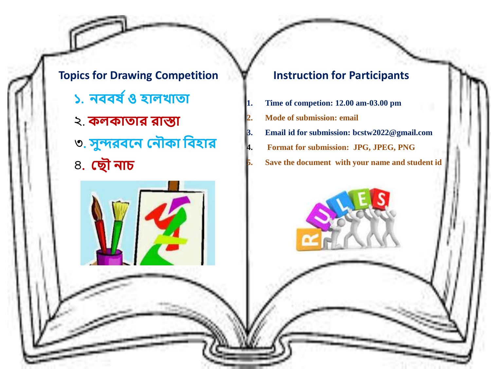**Topics for Drawing Competition ১. নববর্ ষও হালখাতা** ২. **কলকাতার রাস্তা** ৩**. সুন্দরবনন ননৌকা ববহার** ৪**. ন ৌ নাচ**

#### **Instruction for Participants**

**1. Time of competion: 12.00 am-03.00 pm 2. Mode of submission: email 3. Email id for submission: bcstw2022@gmail.com 4. Format for submission: JPG, JPEG, PNG 5. Save the document with your name and student id**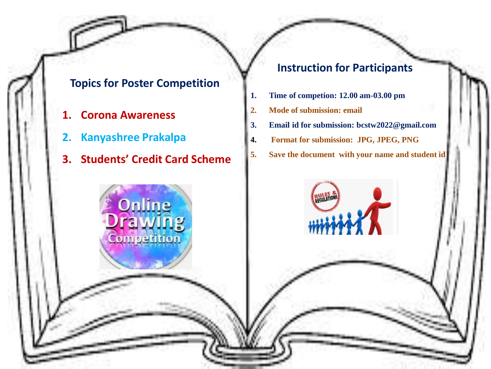## **Topics for Poster Competition**

- **1. Corona Awareness**
- **2. Kanyashree Prakalpa**
- **3. Students' Credit Card Scheme**

noetition

# **Instruction for Participants**

- **1. Time of competion: 12.00 am-03.00 pm**
- **2. Mode of submission: email**
- **3. Email id for submission: bcstw2022@gmail.com**
- **4. Format for submission: JPG, JPEG, PNG**
- **5. Save the document with your name and student id**

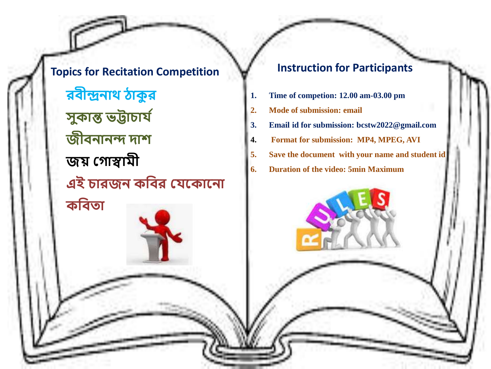**Topics for Recitation Competition রবীন্দ্রনাথ ঠাকু র সুকান্ত ভট্টাচার্ ষ জীবনানন্দ দাশ জয় ন াস্বামী এই চারজন কববর নর্নকাননা কববতা**

### **Instruction for Participants**

- **1. Time of competion: 12.00 am-03.00 pm**
- **2. Mode of submission: email**
- **3. Email id for submission: bcstw2022@gmail.com**
- **4. Format for submission: MP4, MPEG, AVI**
- **5. Save the document with your name and student id**
- **6. Duration of the video: 5min Maximum**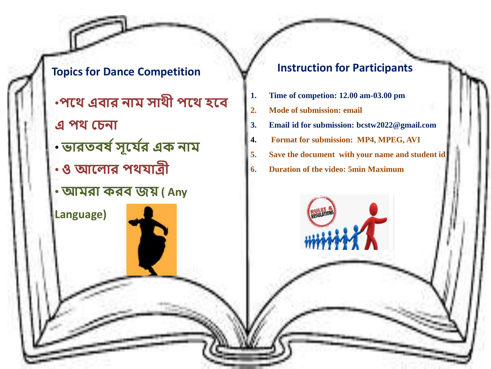**Topics for Dance Competition** 

- •**পনথ এবার নাম সাথী পনথ হনব**
- **এ পথ নচনা**

**Language)** 

- **ভারতবর্ ষসূনর্ ষর এক নাম**
- **ও আনলার পথর্াত্রী**
- •**আমরা করব জয় ( Any**

### **Instruction for Participants**

- **1. Time of competion: 12.00 am-03.00 pm**
- **2. Mode of submission: email**
- **3. Email id for submission: bcstw2022@gmail.com**
- **4. Format for submission: MP4, MPEG, AVI**
- **5. Save the document with your name and student id**
- **6. Duration of the video: 5min Maximum**